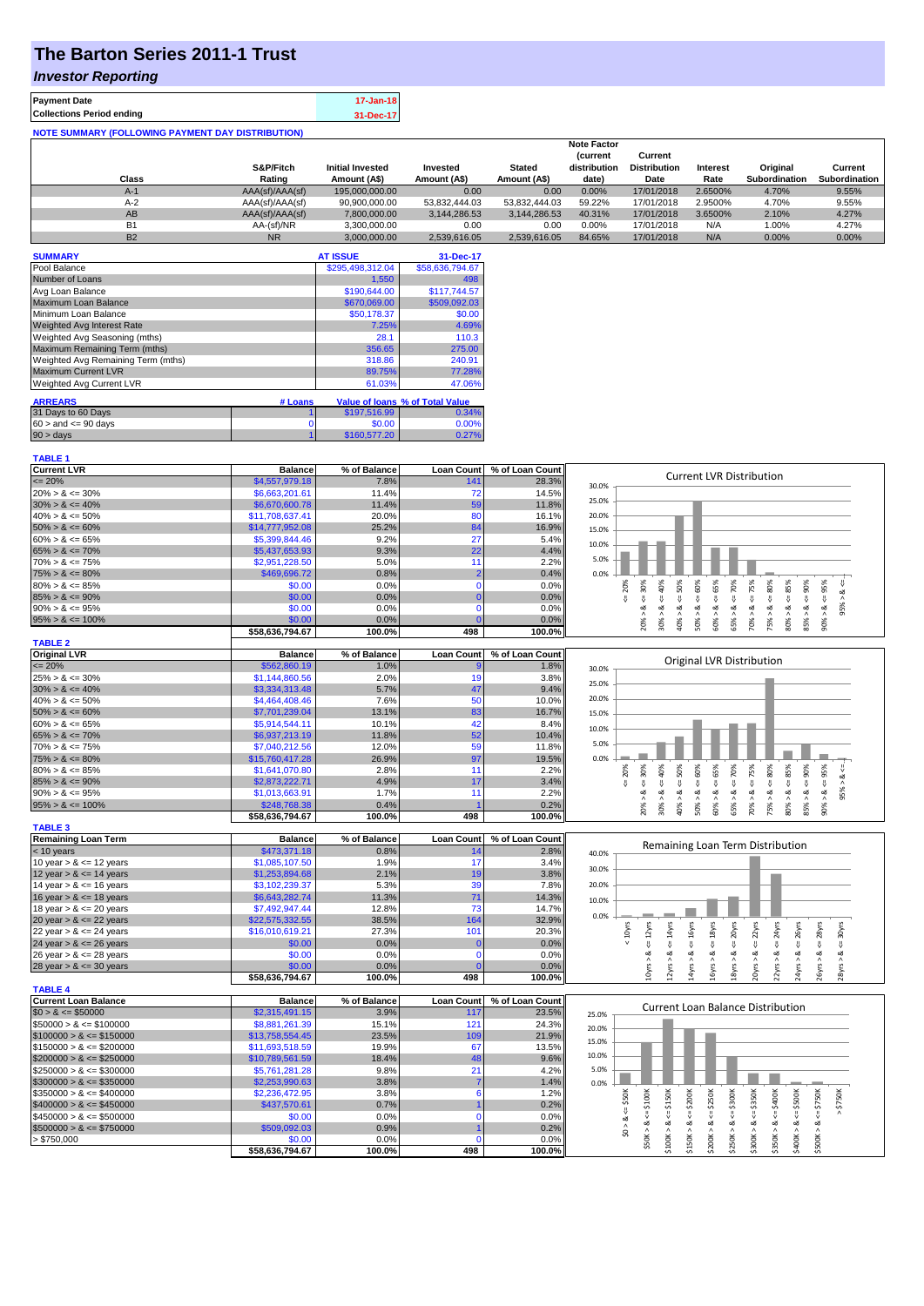# **The Barton Series 2011-1 Trust**

### *Investor Reporting*

| <b>Payment Date</b>                                      | 17-Jan-18 |
|----------------------------------------------------------|-----------|
| <b>Collections Period ending</b>                         | 31-Dec-17 |
| <b>NOTE SUMMARY (FOLLOWING PAYMENT DAY DISTRIBUTION)</b> |           |

|           |                 |                         |               |               | <b>Note Factor</b> |                     |                 |               |               |
|-----------|-----------------|-------------------------|---------------|---------------|--------------------|---------------------|-----------------|---------------|---------------|
|           |                 |                         |               |               | <b>Current</b>     | Current             |                 |               |               |
|           | S&P/Fitch       | <b>Initial Invested</b> | Invested      | <b>Stated</b> | distribution       | <b>Distribution</b> | <b>Interest</b> | Original      | Current       |
| Class     | Rating          | Amount (A\$)            | Amount (A\$)  | Amount (A\$)  | date)              | Date                | Rate            | Subordination | Subordination |
| $A-1$     | AAA(sf)/AAA(sf) | 195,000,000,00          | 0.00          | 0.00          | 0.00%              | 17/01/2018          | 2.6500%         | 4.70%         | 9.55%         |
| $A-2$     | AAA(sf)/AAA(sf) | 90,900,000.00           | 53.832.444.03 | 53.832.444.03 | 59.22%             | 17/01/2018          | 2.9500%         | 4.70%         | 9.55%         |
| AB        | AAA(sf)/AAA(sf) | 7.800.000.00            | 3.144.286.53  | 3.144.286.53  | 40.31%             | 17/01/2018          | 3.6500%         | 2.10%         | 4.27%         |
| <b>B1</b> | AA-(sf)/NR      | 3.300.000.00            | 0.00          | 0.00          | $0.00\%$           | 17/01/2018          | N/A             | 1.00%         | 4.27%         |
| <b>B2</b> | <b>NR</b>       | 3.000.000.00            | 2.539.616.05  | 2.539.616.05  | 84.65%             | 17/01/2018          | N/A             | $0.00\%$      | 0.00%         |

| <b>SUMMARY</b>                     |         | <b>AT ISSUE</b>  | 31-Dec-17                       |
|------------------------------------|---------|------------------|---------------------------------|
| Pool Balance                       |         | \$295,498,312.04 | \$58,636,794.67                 |
| Number of Loans                    |         | 1,550            | 498                             |
| Avg Loan Balance                   |         | \$190,644.00     | \$117,744.57                    |
| Maximum Loan Balance               |         | \$670,069.00     | \$509.092.03                    |
| Minimum Loan Balance               |         | \$50.178.37      | \$0.00                          |
| <b>Weighted Avg Interest Rate</b>  |         | 7.25%            | 4.69%                           |
| Weighted Avg Seasoning (mths)      |         | 28.1             | 110.3                           |
| Maximum Remaining Term (mths)      |         | 356.65           | 275.00                          |
| Weighted Avg Remaining Term (mths) |         | 318.86           | 240.91                          |
| <b>Maximum Current LVR</b>         |         | 89.75%           | 77.28%                          |
| Weighted Avg Current LVR           |         | 61.03%           | 47.06%                          |
| <b>ARREARS</b>                     | # Loans |                  | Value of loans % of Total Value |
|                                    |         |                  |                                 |
| 31 Days to 60 Days                 |         | \$197,516.99     | 0.34%                           |
| $60 >$ and $\leq 90$ days          | 0       | \$0.00           | 0.00%                           |
| $90 > \text{days}$                 |         | \$160,577.20     | 0.27%                           |

| <b>TABLE 1</b>              |                 |              |                   |                 |                                                                                                                                                                                                                                                       |
|-----------------------------|-----------------|--------------|-------------------|-----------------|-------------------------------------------------------------------------------------------------------------------------------------------------------------------------------------------------------------------------------------------------------|
| <b>Current LVR</b>          | <b>Balance</b>  | % of Balance | <b>Loan Count</b> | % of Loan Count |                                                                                                                                                                                                                                                       |
| $\leq$ 20%                  | \$4,557,979.18  | 7.8%         | 141               | 28.3%           | <b>Current LVR Distribution</b><br>30.0%                                                                                                                                                                                                              |
| $20\% > 8 \le 30\%$         | \$6,663,201.61  | 11.4%        | 72                | 14.5%           |                                                                                                                                                                                                                                                       |
| $30\% > 8 \le 40\%$         | \$6,670,600.78  | 11.4%        | 59                | 11.8%           | 25.0%                                                                                                                                                                                                                                                 |
| $40\% > 8 \le 50\%$         | \$11,708,637.41 | 20.0%        | 80                | 16.1%           | 20.0%                                                                                                                                                                                                                                                 |
| $50\% > 8 \le 60\%$         | \$14,777,952.08 | 25.2%        | 84                | 16.9%           | 15.0%                                                                                                                                                                                                                                                 |
| $60\% > 8 \le 65\%$         | \$5,399,844.46  | 9.2%         | 27                | 5.4%            |                                                                                                                                                                                                                                                       |
| $65\% > 8 \le 70\%$         | \$5,437,653.93  | 9.3%         | 22                | 4.4%            | 10.0%                                                                                                                                                                                                                                                 |
| $70\% > 8 \le 75\%$         | \$2,951,228.50  | 5.0%         | 11                | 2.2%            | 5.0%                                                                                                                                                                                                                                                  |
| $75\% > 8 \le 80\%$         | \$469,696.72    | 0.8%         | $\overline{2}$    | 0.4%            | 0.0%                                                                                                                                                                                                                                                  |
| $80\% > 8 \le 85\%$         | \$0.00          | 0.0%         | $\Omega$          | 0.0%            | $4 = 60\%$<br>$\le 70\%$<br>20%                                                                                                                                                                                                                       |
| $85\% > 8 \le 90\%$         | \$0.00          | 0.0%         | $\Omega$          | 0.0%            | $8 - 95%$<br>$4 = 30\%$<br>40%<br>$<=65%$<br>$\leq 80\%$<br>$\leq 85\%$<br>95% > 8 <<br>IJ                                                                                                                                                            |
| $90\% > 8 \le 95\%$         | \$0.00          | 0.0%         | $\Omega$          | 0.0%            | ઌ<br>ż                                                                                                                                                                                                                                                |
| $95\% > 8 \le 100\%$        | \$0.00          | 0.0%         |                   | 0.0%            | $40\% > 8 <= 50\%$<br>$70\% > 8$ <= 75%<br>$85% > 8 <= 90%$<br>$30\% > 8$<br>75% > 8<br>$80\% > 8.$<br>$50\% > 8.$<br>20% > i<br>60% > 8<br>90% ><br>65% >                                                                                            |
|                             | \$58,636,794.67 | 100.0%       | 498               | 100.0%          |                                                                                                                                                                                                                                                       |
| <b>TABLE 2</b>              |                 |              |                   |                 |                                                                                                                                                                                                                                                       |
| <b>Original LVR</b>         | <b>Balance</b>  | % of Balance | <b>Loan Count</b> | % of Loan Count |                                                                                                                                                                                                                                                       |
| $\leq$ 20%                  | \$562,860.19    | 1.0%         |                   | 1.8%            | Original LVR Distribution<br>30.0%                                                                                                                                                                                                                    |
| $25\% > 8 \le 30\%$         | \$1,144,860.56  | 2.0%         | 19                | 3.8%            |                                                                                                                                                                                                                                                       |
| $30\% > 8 \le 40\%$         | \$3,334,313.48  | 5.7%         | 47                | 9.4%            | 25.0%                                                                                                                                                                                                                                                 |
| $40\% > 8 \le 50\%$         | \$4,464,408.46  | 7.6%         | 50                | 10.0%           | 20.0%                                                                                                                                                                                                                                                 |
| $50\% > 8 \le 60\%$         | \$7,701,239.04  | 13.1%        | 83                | 16.7%           | 15.0%                                                                                                                                                                                                                                                 |
| $60\% > 8 \le 65\%$         | \$5,914,544.11  | 10.1%        | 42                | 8.4%            |                                                                                                                                                                                                                                                       |
| $65\% > 8 \le 70\%$         | \$6,937,213.19  | 11.8%        | 52                | 10.4%           | 10.0%                                                                                                                                                                                                                                                 |
| $70\% > 8 \le 75\%$         | \$7,040,212.56  | 12.0%        | 59                | 11.8%           | 5.0%                                                                                                                                                                                                                                                  |
| $75\% > 8 \le 80\%$         | \$15,760,417.28 | 26.9%        | 97                | 19.5%           | 0.0%                                                                                                                                                                                                                                                  |
| $80\% > 8 \le 85\%$         | \$1,641,070.80  | 2.8%         | 11                | 2.2%            | 95%<br>65%<br>70%<br>₩<br>20%                                                                                                                                                                                                                         |
| $85\% > 8 \le 90\%$         | \$2,873,222.71  | 4.9%         | 17                | 3.4%            | 485%<br>$4 = 50\%$<br>$4 = 60\%$<br>$4 = 75%$<br>$\le 80\%$<br>$4 = 90\%$<br>$4 = 30\%$<br>40%<br>$\dot{\infty}$<br>₩<br>₩<br>₩                                                                                                                       |
| $90\% > 8 \le 95\%$         | \$1,013,663.91  | 1.7%         | 11                | 2.2%            | 95% ><br>ಷ<br>ಹ<br>ಷ<br>œ<br>∞<br>∞<br>∞<br>∞<br>ಷ<br>∞<br>ಷ                                                                                                                                                                                          |
| $95\% > 8 \le 100\%$        | \$248,768.38    | 0.4%         |                   | 0.2%            | 20% ><br>30% ><br>40% ><br>50% ><br>65% ><br>70%<br>75% ><br>$80\%$ $>$<br>85% ><br>90% ><br>60% >                                                                                                                                                    |
|                             | \$58,636,794.67 | 100.0%       | 498               | 100.0%          |                                                                                                                                                                                                                                                       |
| <b>TABLE 3</b>              |                 |              |                   |                 |                                                                                                                                                                                                                                                       |
| <b>Remaining Loan Term</b>  | <b>Balance</b>  | % of Balance | <b>Loan Count</b> | % of Loan Count |                                                                                                                                                                                                                                                       |
| $<$ 10 years                | \$473,371.18    | 0.8%         | 14                | 2.8%            | Remaining Loan Term Distribution<br>40.0%                                                                                                                                                                                                             |
| 10 year $> 8 \le 12$ years  | \$1,085,107.50  | 1.9%         | 17                | 3.4%            |                                                                                                                                                                                                                                                       |
| 12 year $> 8 \le 14$ years  | \$1,253,894.68  | 2.1%         | 19                | 3.8%            | 30.0%                                                                                                                                                                                                                                                 |
| 14 year $> 8 \le 16$ years  | \$3,102,239.37  | 5.3%         | 39                | 7.8%            | 20.0%                                                                                                                                                                                                                                                 |
| 16 year $> 8 \le 18$ years  | \$6,643,282.74  | 11.3%        | 71                | 14.3%           | 10.0%                                                                                                                                                                                                                                                 |
| 18 year $> 8 \le 20$ years  | \$7,492,947.44  | 12.8%        | 73                | 14.7%           |                                                                                                                                                                                                                                                       |
| 20 year $> 8 \le 22$ years  | \$22,575,332.55 | 38.5%        | 164               | 32.9%           | 0.0%                                                                                                                                                                                                                                                  |
| 22 year $> 8 \le 24$ years  | \$16,010,619.21 | 27.3%        | 101               | 20.3%           | $< = 16yrs$<br>$\leq$ 26yrs<br>$< 10$ yrs<br>$\leq 18$ yrs<br>$\leq$ 20yrs<br>22yrs<br>$\epsilon$ = 24yrs<br>$\leq$ 28 $\gamma$ rs<br>$\epsilon$ = 12yrs<br>$\leq 14$ yrs<br>30yrs                                                                    |
| 24 year $> 8 \le 26$ years  | \$0.00          | 0.0%         |                   | 0.0%            | IJ,<br>₩                                                                                                                                                                                                                                              |
| 26 year $> 8 \le 28$ years  | \$0.00          | 0.0%         | $\mathbf{0}$      | 0.0%            | ಷ<br>ವ<br>ಷ<br>∞<br>ಷ<br>ಹ<br>ಷ<br>∞<br>ø<br>ಷ                                                                                                                                                                                                        |
| 28 year $> 8 \le 30$ years  | \$0.00          | 0.0%         |                   | 0.0%            | 10yrs > 8<br>14yrs > 8<br>16yrs > 8<br>18yrs > 8<br>24yrs ><br>12yrs ><br>20yrs ><br>$28\text{Vrs}$                                                                                                                                                   |
|                             | \$58,636,794.67 | 100.0%       | 498               | 100.0%          | 26yrs > 8<br>22yrs >                                                                                                                                                                                                                                  |
| <b>TABLE 4</b>              |                 |              |                   |                 |                                                                                                                                                                                                                                                       |
| <b>Current Loan Balance</b> | <b>Balance</b>  | % of Balance | <b>Loan Count</b> | % of Loan Count | <b>Current Loan Balance Distribution</b>                                                                                                                                                                                                              |
| $$0 > 8 \le $50000$         | \$2,315,491.15  | 3.9%         | 117               | 23.5%           | 25.0%                                                                                                                                                                                                                                                 |
| $$50000 > 8 \le $100000$    | \$8,881,261.39  | 15.1%        | 121               | 24.3%           | 20.0%                                                                                                                                                                                                                                                 |
| $$100000 > 8 \leq $150000$  | \$13,758,554.45 | 23.5%        | 10 <sub>s</sub>   | 21.9%           | 15.0%                                                                                                                                                                                                                                                 |
| $$150000 > 8 \leq $200000$  | \$11,693,518.59 | 19.9%        | 67                | 13.5%           |                                                                                                                                                                                                                                                       |
| $$200000 > 8 \leq $250000$  | \$10,789,561.59 | 18.4%        | 48                | 9.6%            | 10.0%                                                                                                                                                                                                                                                 |
| $$250000 > 8 \leq $300000$  | \$5,761,281.28  | 9.8%         | 21                | 4.2%            | 5.0%                                                                                                                                                                                                                                                  |
| $$300000 > 8 \leq $350000$  | \$2,253,990.63  | 3.8%         |                   | 1.4%            | 0.0%                                                                                                                                                                                                                                                  |
| $$350000 > 8 \leq $400000$  | \$2,236,472.95  | 3.8%         | 6                 | 1.2%            |                                                                                                                                                                                                                                                       |
| $$400000 > 8 \leq $450000$  | \$437,570.61    | 0.7%         |                   | 0.2%            | $$0 > 8 <= $50$<br>$$50K > 8 <= $100K$<br>$$150K > <= $200K$$<br>$$250K > 8 <= $300K$$<br>$$300K > 8 <= $350K$<br>\$350K > & <= \$400K<br>$>$ \$750K<br>$$100K > 8 <= $150K$<br>$$200K > 8 < = $250K$<br>$$400K > 8 <= $500K$<br>$$500K > 8 <= $750K$ |
| $$450000 > 8 \le $500000$   | \$0.00          | 0.0%         | $\Omega$          | 0.0%            |                                                                                                                                                                                                                                                       |
| $$500000 > 8 \le $750000$   | \$509,092.03    | 0.9%         |                   | 0.2%            |                                                                                                                                                                                                                                                       |
| > \$750,000                 | \$0.00          | 0.0%         | $\Omega$          | 0.0%            |                                                                                                                                                                                                                                                       |
|                             | \$58,636,794.67 | 100.0%       | 498               | 100.0%          |                                                                                                                                                                                                                                                       |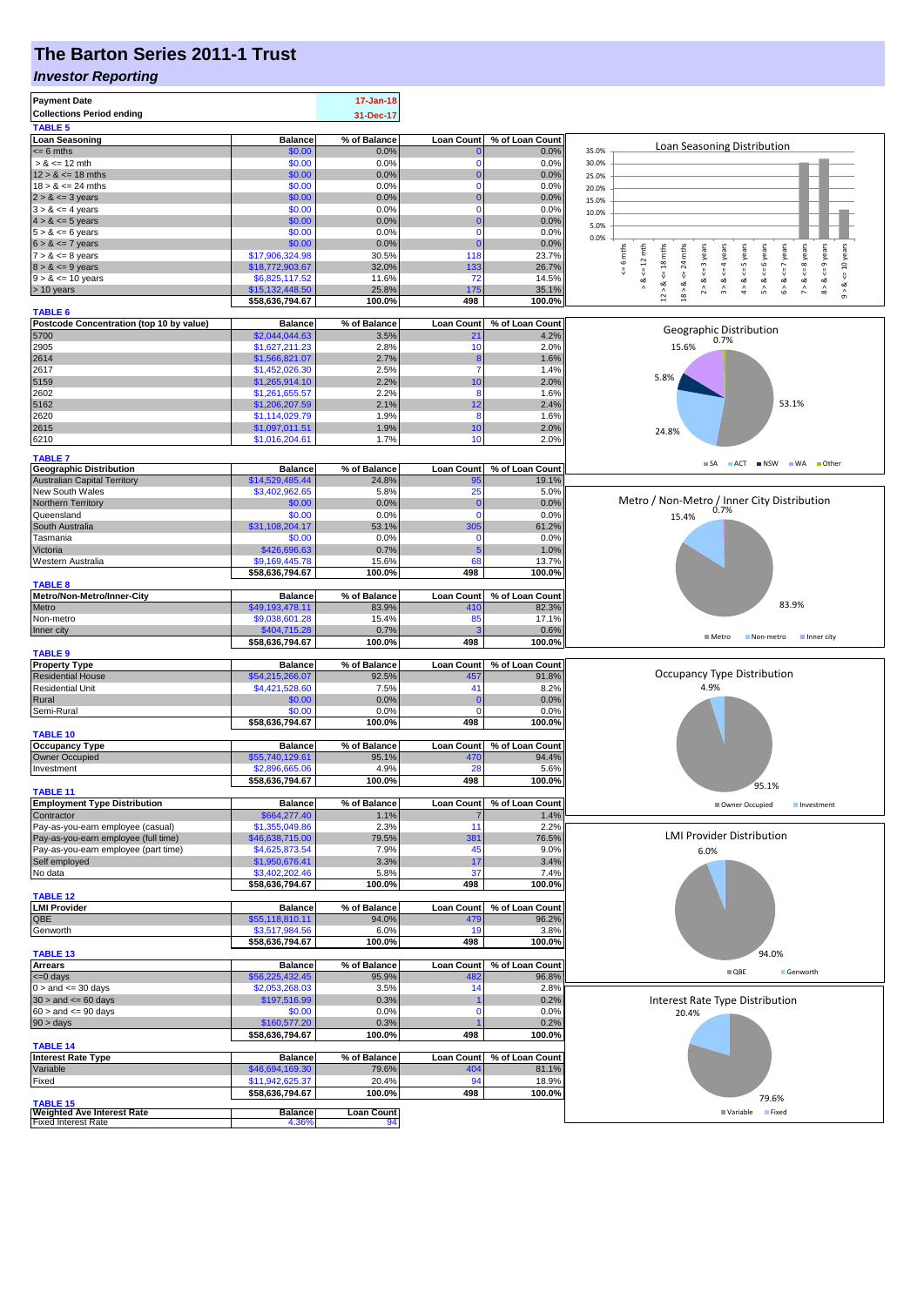# **The Barton Series 2011-1 Trust**

#### *Investor Reporting*

| <b>Payment Date</b><br><b>Collections Period ending</b><br><b>TABLE 5</b> |                                   | 17-Jan-18<br>31-Dec-17 |                      |                 |                                                                                                                                                                                         |
|---------------------------------------------------------------------------|-----------------------------------|------------------------|----------------------|-----------------|-----------------------------------------------------------------------------------------------------------------------------------------------------------------------------------------|
| <b>Loan Seasoning</b>                                                     | <b>Balance</b>                    | % of Balance           | <b>Loan Count</b>    | % of Loan Count |                                                                                                                                                                                         |
| $= 6$ mths                                                                | \$0.00                            | 0.0%                   |                      | 0.0%            | Loan Seasoning Distribution<br>35.0%                                                                                                                                                    |
| $> 8 \le 12$ mth                                                          | \$0.00                            | 0.0%                   | 0                    | 0.0%            | 30.0%                                                                                                                                                                                   |
| $12 > 8 \le 18$ mths                                                      | \$0.00                            | 0.0%                   | 0                    | 0.0%            | 25.0%                                                                                                                                                                                   |
| $18 > 8 \le 24$ mths                                                      | \$0.00                            | 0.0%                   | $\Omega$             | 0.0%            | 20.0%                                                                                                                                                                                   |
| $2 > 8 \le 3$ years                                                       | \$0.00                            | 0.0%                   |                      | 0.0%            | 15.0%                                                                                                                                                                                   |
| $3 > 8 \le 4$ years                                                       | \$0.00                            | 0.0%                   | 0                    | 0.0%            | 10.0%                                                                                                                                                                                   |
| $4 > 8 \le 5$ years<br>$5 > 8 \le 6$ years                                | \$0.00<br>\$0.00                  | 0.0%<br>0.0%           | $\Omega$             | 0.0%<br>0.0%    | 5.0%                                                                                                                                                                                    |
| $6 > 8 \le 7$ years                                                       | \$0.00                            | 0.0%                   | $\epsilon$           | 0.0%            | 0.0%                                                                                                                                                                                    |
| $7 > 8 \le 8$ years                                                       | \$17,906,324.98                   | 30.5%                  | 118                  | 23.7%           | 6 mths<br>mths                                                                                                                                                                          |
| $8 > 8 \le 9$ years                                                       | \$18,772,903.67                   | 32.0%                  | 133                  | 26.7%           | $\leq$ 8 years<br>$k = 12$ mth<br>& $\lt = 4$ years<br><= 10 years<br>$\overline{24}$                                                                                                   |
| $9 > 8 \le 10$ years                                                      | \$6,825,117.52                    | 11.6%                  | 72                   | 14.5%           | V<br>œ<br>∞                                                                                                                                                                             |
| > 10 years                                                                | \$15,132,448.50                   | 25.8%                  | 175                  | 35.1%           | $12 > 8$ <= 18 mths<br>$6 > 8$ <= 7 years<br>$8 > 8 < = 9$ years<br>$2 > 8$ <= 3 years<br>$4 > 8$ <= 5 years<br>$5 > 8 < 6$ years<br>$18 > 8$<br>ಷ<br>۸<br>$\hat{ }$<br>÷,<br>$\hat{5}$ |
|                                                                           | \$58,636,794.67                   | 100.0%                 | 498                  | 100.0%          |                                                                                                                                                                                         |
| <b>TABLE 6</b>                                                            |                                   |                        |                      |                 |                                                                                                                                                                                         |
| Postcode Concentration (top 10 by value)                                  | <b>Balance</b>                    | % of Balance           | <b>Loan Count</b>    | % of Loan Count | Geographic Distribution                                                                                                                                                                 |
| 5700                                                                      | \$2,044,044.63                    | 3.5%                   | 21                   | 4.2%            | 0.7%                                                                                                                                                                                    |
| 2905                                                                      | \$1,627,211.23                    | 2.8%                   | 10                   | 2.0%            | 15.6%                                                                                                                                                                                   |
| 2614                                                                      | \$1,566,821.07                    | 2.7%                   | ۶                    | 1.6%            |                                                                                                                                                                                         |
| 2617                                                                      | \$1,452,026.30                    | 2.5%                   | 7                    | 1.4%            | 5.8%                                                                                                                                                                                    |
| 5159<br>2602                                                              | \$1,265,914.10                    | 2.2%<br>2.2%           | 10<br>8              | 2.0%<br>1.6%    |                                                                                                                                                                                         |
| 5162                                                                      | \$1,261,655.57                    | 2.1%                   | 12                   | 2.4%            | 53.1%                                                                                                                                                                                   |
| 2620                                                                      | \$1,206,207.59<br>\$1,114,029.79  | 1.9%                   | 8                    | 1.6%            |                                                                                                                                                                                         |
| 2615                                                                      | \$1,097,011.51                    | 1.9%                   | 10                   | 2.0%            |                                                                                                                                                                                         |
| 6210                                                                      | \$1,016,204.61                    | 1.7%                   | 10                   | 2.0%            | 24.8%                                                                                                                                                                                   |
|                                                                           |                                   |                        |                      |                 |                                                                                                                                                                                         |
| <b>TABLE 7</b>                                                            |                                   |                        |                      |                 | SA ACT INSW WA Other                                                                                                                                                                    |
| <b>Geographic Distribution</b>                                            | <b>Balance</b>                    | % of Balance           | <b>Loan Count</b>    | % of Loan Count |                                                                                                                                                                                         |
| <b>Australian Capital Territory</b>                                       | \$14,529,485.44                   | 24.8%                  | 95                   | 19.1%           |                                                                                                                                                                                         |
| New South Wales                                                           | \$3,402,962.65                    | 5.8%                   | 25                   | 5.0%            |                                                                                                                                                                                         |
| Northern Territory                                                        | \$0.00<br>\$0.00                  | 0.0%<br>0.0%           | $\bf{0}$<br>$\Omega$ | 0.0%<br>0.0%    | Metro / Non-Metro / Inner City Distribution                                                                                                                                             |
| Queensland<br>South Australia                                             | \$31,108,204.17                   | 53.1%                  | 305                  | 61.2%           | 15.4%                                                                                                                                                                                   |
| Tasmania                                                                  | \$0.00                            | 0.0%                   | $\mathbf 0$          | 0.0%            |                                                                                                                                                                                         |
| Victoria                                                                  | \$426,696.63                      | 0.7%                   | 5                    | 1.0%            |                                                                                                                                                                                         |
| Western Australia                                                         | \$9,169,445.78                    | 15.6%                  | 68                   | 13.7%           |                                                                                                                                                                                         |
|                                                                           | \$58,636,794.67                   | 100.0%                 | 498                  | 100.0%          |                                                                                                                                                                                         |
| <b>TABLE 8</b>                                                            |                                   |                        |                      |                 |                                                                                                                                                                                         |
| Metro/Non-Metro/Inner-City                                                | <b>Balance</b>                    | % of Balance           | <b>Loan Count</b>    | % of Loan Count |                                                                                                                                                                                         |
| Metro                                                                     | \$49,193,478.11                   | 83.9%                  | 410                  | 82.3%           | 83.9%                                                                                                                                                                                   |
| Non-metro                                                                 | \$9,038,601.28                    | 15.4%                  | 85                   | 17.1%           |                                                                                                                                                                                         |
| Inner city                                                                | \$404,715.28                      | 0.7%                   |                      | 0.6%            | $M$ Metro<br>Non-metro<br>Inner city                                                                                                                                                    |
|                                                                           | \$58,636,794.67                   | 100.0%                 | 498                  | 100.0%          |                                                                                                                                                                                         |
| <b>TABLE 9</b>                                                            |                                   |                        |                      |                 |                                                                                                                                                                                         |
| <b>Property Type</b>                                                      | <b>Balance</b>                    | % of Balance           | Loan Count           | % of Loan Count | <b>Occupancy Type Distribution</b>                                                                                                                                                      |
| <b>Residential House</b><br><b>Residential Unit</b>                       | \$54,215,266.07<br>\$4,421,528.60 | 92.5%<br>7.5%          | 457<br>41            | 91.8%           | 4.9%                                                                                                                                                                                    |
| Rural                                                                     | \$0.00                            | 0.0%                   | 0                    | 8.2%<br>0.0%    |                                                                                                                                                                                         |
| Semi-Rural                                                                | \$0.00                            | 0.0%                   | 0                    | 0.0%            |                                                                                                                                                                                         |
|                                                                           | \$58,636,794.67                   | 100.0%                 | 498                  | 100.0%          |                                                                                                                                                                                         |
| <b>TABLE 10</b>                                                           |                                   |                        |                      |                 |                                                                                                                                                                                         |
| <b>Occupancy Type</b>                                                     | <b>Balance</b>                    | % of Balance           | <b>Loan Count</b>    | % of Loan Count |                                                                                                                                                                                         |
| Owner Occupied                                                            | \$55,740,129.61                   | 95.1%                  | 470                  | 94.4%           |                                                                                                                                                                                         |
| Investment                                                                | \$2,896,665.06                    | 4.9%                   | 28                   | 5.6%            |                                                                                                                                                                                         |
|                                                                           | \$58,636,794.67                   | 100.0%                 | 498                  | 100.0%          |                                                                                                                                                                                         |
| <b>TABLE 11</b>                                                           |                                   |                        |                      |                 | 95.1%                                                                                                                                                                                   |
| <b>Employment Type Distribution</b>                                       | <b>Balance</b>                    | % of Balance           | <b>Loan Count</b>    | % of Loan Count | Owner Occupied<br>Investment                                                                                                                                                            |
| Contractor                                                                | \$664,277.40                      | 1.1%                   |                      | 1.4%            |                                                                                                                                                                                         |
| Pay-as-you-earn employee (casual)                                         | \$1,355,049.86                    | 2.3%                   | 11                   | 2.2%            | <b>LMI Provider Distribution</b>                                                                                                                                                        |
| Pay-as-you-earn employee (full time)                                      | \$46,638,715.00                   | 79.5%                  | 381                  | 76.5%           |                                                                                                                                                                                         |
| Pay-as-you-earn employee (part time)                                      | \$4,625,873.54                    | 7.9%<br>3.3%           | 45                   | 9.0%            | 6.0%                                                                                                                                                                                    |
| Self employed<br>No data                                                  | \$1,950,676.41<br>\$3,402,202.46  | 5.8%                   | 17<br>37             | 3.4%<br>7.4%    |                                                                                                                                                                                         |
|                                                                           | \$58,636,794.67                   | 100.0%                 | 498                  | 100.0%          |                                                                                                                                                                                         |
| <b>TABLE 12</b>                                                           |                                   |                        |                      |                 |                                                                                                                                                                                         |
| <b>LMI Provider</b>                                                       | <b>Balance</b>                    | % of Balance           | <b>Loan Count</b>    | % of Loan Count |                                                                                                                                                                                         |
| QBE                                                                       | \$55,118,810.11                   | 94.0%                  | 479                  | 96.2%           |                                                                                                                                                                                         |
| Genworth                                                                  | \$3,517,984.56                    | 6.0%                   | 19                   | 3.8%            |                                                                                                                                                                                         |
|                                                                           | \$58,636,794.67                   | 100.0%                 | 498                  | 100.0%          |                                                                                                                                                                                         |
| <b>TABLE 13</b>                                                           |                                   |                        |                      |                 | 94.0%                                                                                                                                                                                   |
| <b>Arrears</b>                                                            | <b>Balance</b>                    | % of Balance           | <b>Loan Count</b>    | % of Loan Count | $\blacksquare$ QBE<br>Genworth                                                                                                                                                          |
| $= 0$ days                                                                | \$56,225,432.45                   | 95.9%                  | 482                  | 96.8%           |                                                                                                                                                                                         |
| $0 >$ and $\leq 30$ days                                                  | \$2,053,268.03                    | 3.5%                   | 14                   | 2.8%            |                                                                                                                                                                                         |
| $30 >$ and $\leq 60$ days                                                 | \$197,516.99                      | 0.3%                   |                      | 0.2%            | Interest Rate Type Distribution                                                                                                                                                         |
| $60 >$ and $\leq 90$ days                                                 | \$0.00                            | 0.0%                   | 0                    | 0.0%            | 20.4%                                                                                                                                                                                   |
| $90 > \text{days}$                                                        | \$160,577.20                      | 0.3%                   |                      | 0.2%            |                                                                                                                                                                                         |
| <b>TABLE 14</b>                                                           | \$58,636,794.67                   | 100.0%                 | 498                  | 100.0%          |                                                                                                                                                                                         |
| <b>Interest Rate Type</b>                                                 | <b>Balance</b>                    | % of Balance           | Loan Count           | % of Loan Count |                                                                                                                                                                                         |
| Variable                                                                  | \$46,694,169.30                   | 79.6%                  | 404                  | 81.1%           |                                                                                                                                                                                         |
| Fixed                                                                     | \$11,942,625.37                   | 20.4%                  | 94                   | 18.9%           |                                                                                                                                                                                         |
|                                                                           | \$58,636,794.67                   | 100.0%                 | 498                  | 100.0%          |                                                                                                                                                                                         |
| <b>TABLE 15</b>                                                           |                                   |                        |                      |                 | 79.6%                                                                                                                                                                                   |
| <b>Weighted Ave Interest Rate</b>                                         | <b>Balance</b>                    | <b>Loan Count</b>      |                      |                 | ■ Variable<br>Fixed                                                                                                                                                                     |
| <b>Fixed Interest Rate</b>                                                | 4.36%                             | 94                     |                      |                 |                                                                                                                                                                                         |